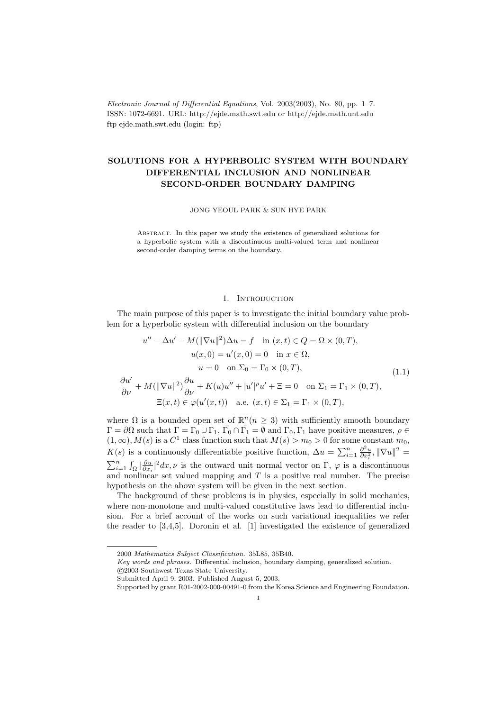Electronic Journal of Differential Equations, Vol. 2003(2003), No. 80, pp. 1–7. ISSN: 1072-6691. URL: http://ejde.math.swt.edu or http://ejde.math.unt.edu ftp ejde.math.swt.edu (login: ftp)

# SOLUTIONS FOR A HYPERBOLIC SYSTEM WITH BOUNDARY DIFFERENTIAL INCLUSION AND NONLINEAR SECOND-ORDER BOUNDARY DAMPING

JONG YEOUL PARK & SUN HYE PARK

Abstract. In this paper we study the existence of generalized solutions for a hyperbolic system with a discontinuous multi-valued term and nonlinear second-order damping terms on the boundary.

## 1. INTRODUCTION

The main purpose of this paper is to investigate the initial boundary value problem for a hyperbolic system with differential inclusion on the boundary

$$
u'' - \Delta u' - M(\|\nabla u\|^2)\Delta u = f \quad \text{in } (x, t) \in Q = \Omega \times (0, T),
$$

$$
u(x, 0) = u'(x, 0) = 0 \quad \text{in } x \in \Omega,
$$

$$
u = 0 \quad \text{on } \Sigma_0 = \Gamma_0 \times (0, T),
$$

$$
\frac{\partial u'}{\partial \nu} + M(\|\nabla u\|^2)\frac{\partial u}{\partial \nu} + K(u)u'' + |u'|^{\rho}u' + \Xi = 0 \quad \text{on } \Sigma_1 = \Gamma_1 \times (0, T),
$$

$$
\Xi(x, t) \in \varphi(u'(x, t)) \quad \text{a.e. } (x, t) \in \Sigma_1 = \Gamma_1 \times (0, T),
$$

$$
(1.1)
$$

where  $\Omega$  is a bounded open set of  $\mathbb{R}^n$  ( $n \geq 3$ ) with sufficiently smooth boundary  $\Gamma = \partial\Omega$  such that  $\Gamma = \Gamma_0 \cup \Gamma_1$ ,  $\bar{\Gamma_0} \cap \bar{\Gamma_1} = \emptyset$  and  $\Gamma_0, \Gamma_1$  have positive measures,  $\rho \in \mathcal{D}$  $(1, \infty)$ ,  $M(s)$  is a  $C<sup>1</sup>$  class function such that  $M(s) > m_0 > 0$  for some constant  $m_0$ ,  $K(s)$  is a continuously differentiable positive function,  $\Delta u = \sum_{i=1}^n \frac{\partial^2 u}{\partial x_i^2}$ ,  $\|\nabla u\|^2$  $\sum_{i=1}^n \int_{\Omega} \left| \frac{\partial u}{\partial x_i} \right|^2 dx$ ,  $\nu$  is the outward unit normal vector on  $\Gamma$ ,  $\varphi$  is a discontinuous and nonlinear set valued mapping and  $T$  is a positive real number. The precise hypothesis on the above system will be given in the next section.

The background of these problems is in physics, especially in solid mechanics, where non-monotone and multi-valued constitutive laws lead to differential inclusion. For a brief account of the works on such variational inequalities we refer the reader to [3,4,5]. Doronin et al. [1] investigated the existence of generalized

<sup>2000</sup> Mathematics Subject Classification. 35L85, 35B40.

Key words and phrases. Differential inclusion, boundary damping, generalized solution. c 2003 Southwest Texas State University.

Submitted April 9, 2003. Published August 5, 2003.

Supported by grant R01-2002-000-00491-0 from the Korea Science and Engineering Foundation.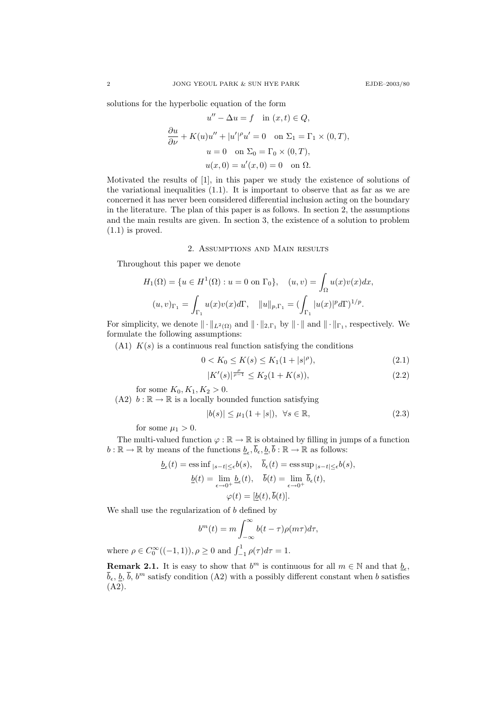solutions for the hyperbolic equation of the form

$$
u'' - \Delta u = f \quad \text{in } (x, t) \in Q,
$$
  
\n
$$
\frac{\partial u}{\partial \nu} + K(u)u'' + |u'|^{\rho}u' = 0 \quad \text{on } \Sigma_1 = \Gamma_1 \times (0, T),
$$
  
\n
$$
u = 0 \quad \text{on } \Sigma_0 = \Gamma_0 \times (0, T),
$$
  
\n
$$
u(x, 0) = u'(x, 0) = 0 \quad \text{on } \Omega.
$$

Motivated the results of [1], in this paper we study the existence of solutions of the variational inequalities (1.1). It is important to observe that as far as we are concerned it has never been considered differential inclusion acting on the boundary in the literature. The plan of this paper is as follows. In section 2, the assumptions and the main results are given. In section 3, the existence of a solution to problem (1.1) is proved.

### 2. Assumptions and Main results

Throughout this paper we denote

$$
H_1(\Omega) = \{ u \in H^1(\Omega) : u = 0 \text{ on } \Gamma_0 \}, \quad (u, v) = \int_{\Omega} u(x)v(x)dx,
$$

$$
(u, v)_{\Gamma_1} = \int_{\Gamma_1} u(x)v(x)d\Gamma, \quad ||u||_{p, \Gamma_1} = (\int_{\Gamma_1} |u(x)|^p d\Gamma)^{1/p}.
$$

For simplicity, we denote  $\|\cdot\|_{L^2(\Omega)}$  and  $\|\cdot\|_{2,\Gamma_1}$  by  $\|\cdot\|$  and  $\|\cdot\|_{\Gamma_1}$ , respectively. We formulate the following assumptions:

 $(A1)$   $K(s)$  is a continuous real function satisfying the conditions

$$
0 < K_0 \le K(s) \le K_1(1+|s|^\rho),\tag{2.1}
$$

$$
|K'(s)|^{\frac{\rho}{\rho-1}} \le K_2(1+K(s)),\tag{2.2}
$$

for some  $K_0, K_1, K_2 > 0$ .

(A2)  $b : \mathbb{R} \to \mathbb{R}$  is a locally bounded function satisfying

$$
|b(s)| \le \mu_1(1+|s|), \ \forall s \in \mathbb{R}, \tag{2.3}
$$

for some  $\mu_1 > 0$ .

The multi-valued function  $\varphi : \mathbb{R} \to \mathbb{R}$  is obtained by filling in jumps of a function  $b: \mathbb{R} \to \mathbb{R}$  by means of the functions  $\underline{b}_{\epsilon}, \overline{b}_{\epsilon}, \underline{b}, \overline{b}: \mathbb{R} \to \mathbb{R}$  as follows:

$$
\underline{b}_{\epsilon}(t) = \operatorname{ess\,inf}_{|s-t| \leq \epsilon} b(s), \quad \overline{b}_{\epsilon}(t) = \operatorname{ess\,sup}_{|s-t| \leq \epsilon} b(s),
$$

$$
\underline{b}(t) = \lim_{\epsilon \to 0^{+}} \underline{b}_{\epsilon}(t), \quad \overline{b}(t) = \lim_{\epsilon \to 0^{+}} \overline{b}_{\epsilon}(t),
$$

$$
\varphi(t) = [\underline{b}(t), \overline{b}(t)].
$$

We shall use the regularization of b defined by

$$
b^{m}(t) = m \int_{-\infty}^{\infty} b(t - \tau) \rho(m\tau) d\tau,
$$

where  $\rho \in C_0^{\infty}((-1,1)), \rho \ge 0$  and  $\int_{-1}^{1} \rho(\tau) d\tau = 1$ .

**Remark 2.1.** It is easy to show that  $b^m$  is continuous for all  $m \in \mathbb{N}$  and that  $\underline{b}_{\epsilon}$ ,  $\bar{b}_{\epsilon}, \underline{b}, \bar{b}, b^m$  satisfy condition (A2) with a possibly different constant when b satisfies (A2).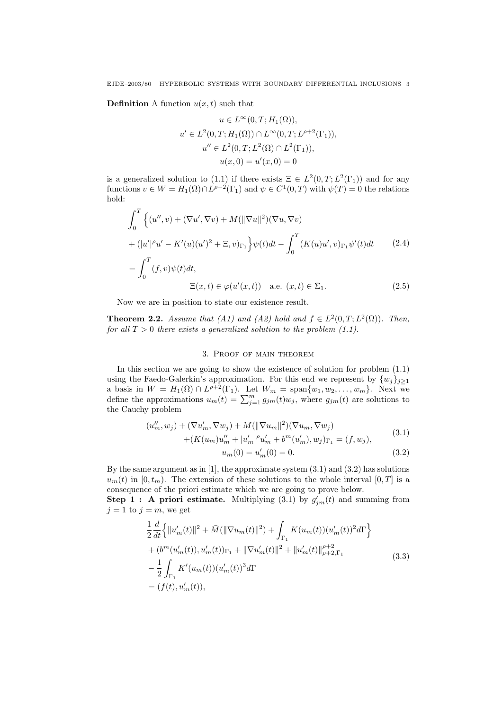**Definition** A function  $u(x, t)$  such that

$$
u \in L^{\infty}(0, T; H_1(\Omega)),
$$
  

$$
u' \in L^2(0, T; H_1(\Omega)) \cap L^{\infty}(0, T; L^{\rho+2}(\Gamma_1)),
$$
  

$$
u'' \in L^2(0, T; L^2(\Omega) \cap L^2(\Gamma_1)),
$$
  

$$
u(x, 0) = u'(x, 0) = 0
$$

is a generalized solution to (1.1) if there exists  $\Xi \in L^2(0,T;L^2(\Gamma_1))$  and for any functions  $v \in W = H_1(\Omega) \cap L^{\rho+2}(\Gamma_1)$  and  $\psi \in C^1(0,T)$  with  $\psi(T) = 0$  the relations hold:

$$
\int_0^T \left\{ (u'', v) + (\nabla u', \nabla v) + M(||\nabla u||^2)(\nabla u, \nabla v) \right.\n+ (|u'|^{\rho} u' - K'(u)(u')^2 + \Xi, v)_{\Gamma_1} \right\} \psi(t) dt - \int_0^T (K(u)u', v)_{\Gamma_1} \psi'(t) dt \qquad (2.4)
$$
\n
$$
= \int_0^T (f, v) \psi(t) dt,
$$

 $\Xi(x,t) \in \varphi(u'(x,t))$  a.e.  $(x,t) \in \Sigma_1$ . (2.5)

Now we are in position to state our existence result.

**Theorem 2.2.** Assume that (A1) and (A2) hold and  $f \in L^2(0,T; L^2(\Omega))$ . Then, for all  $T > 0$  there exists a generalized solution to the problem (1.1).

## 3. Proof of main theorem

In this section we are going to show the existence of solution for problem (1.1) using the Faedo-Galerkin's approximation. For this end we represent by  $\{w_j\}_{j\geq 1}$ a basis in  $W = H_1(\Omega) \cap L^{\rho+2}(\Gamma_1)$ . Let  $W_m = \text{span}\{w_1, w_2, \dots, w_m\}$ . Next we define the approximations  $u_m(t) = \sum_{j=1}^m g_{jm}(t)w_j$ , where  $g_{jm}(t)$  are solutions to the Cauchy problem

$$
(u''_m, w_j) + (\nabla u'_m, \nabla w_j) + M(||\nabla u_m||^2)(\nabla u_m, \nabla w_j) + (K(u_m)u''_m + |u'_m|^{\rho}u'_m + b^m(u'_m), w_j)_{\Gamma_1} = (f, w_j),
$$
(3.1)

$$
u_m(0) = u'_m(0) = 0.
$$
\n(3.2)

By the same argument as in [1], the approximate system (3.1) and (3.2) has solutions  $u_m(t)$  in  $[0, t_m)$ . The extension of these solutions to the whole interval  $[0, T]$  is a consequence of the priori estimate which we are going to prove below.

**Step 1: A priori estimate.** Multiplying (3.1) by  $g'_{jm}(t)$  and summing from  $j = 1$  to  $j = m$ , we get

$$
\frac{1}{2} \frac{d}{dt} \Big\{ \|u'_m(t)\|^2 + \bar{M}(\|\nabla u_m(t)\|^2) + \int_{\Gamma_1} K(u_m(t))(u'_m(t))^2 d\Gamma \Big\} \n+ (b^m(u'_m(t)), u'_m(t))_{\Gamma_1} + \|\nabla u'_m(t)\|^2 + \|u'_m(t)\|_{\rho+2,\Gamma_1}^{\rho+2} \n- \frac{1}{2} \int_{\Gamma_1} K'(u_m(t))(u'_m(t))^3 d\Gamma \n= (f(t), u'_m(t)),
$$
\n(3.3)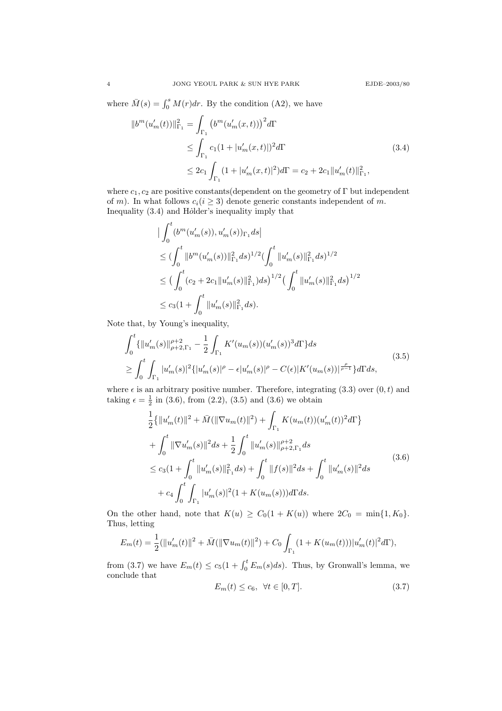where  $\overline{M}(s) = \int_0^s M(r) dr$ . By the condition (A2), we have

$$
||b^{m}(u'_{m}(t))||_{\Gamma_{1}}^{2} = \int_{\Gamma_{1}} \left(b^{m}(u'_{m}(x,t))\right)^{2} d\Gamma
$$
  
\n
$$
\leq \int_{\Gamma_{1}} c_{1}(1+|u'_{m}(x,t)|)^{2} d\Gamma
$$
  
\n
$$
\leq 2c_{1} \int_{\Gamma_{1}} (1+|u'_{m}(x,t)|^{2}) d\Gamma = c_{2} + 2c_{1} ||u'_{m}(t)||_{\Gamma_{1}}^{2},
$$
\n(3.4)

where  $c_1, c_2$  are positive constants(dependent on the geometry of Γ but independent of m). In what follows  $c_i(i \geq 3)$  denote generic constants independent of m. Inequality  $(3.4)$  and H $\ddot{o}$ lder's inequality imply that

$$
\begin{aligned} &\big|\int_0^t (b^m(u_m'(s)), u_m'(s))_{\Gamma_1} ds\big|\\ &\leq (\int_0^t \|b^m(u_m'(s))\|_{\Gamma_1}^2 ds)^{1/2} (\int_0^t \|u_m'(s)\|_{\Gamma_1}^2 ds)^{1/2}\\ &\leq \big(\int_0^t (c_2+2c_1 \|u_m'(s)\|_{\Gamma_1}^2) ds\big)^{1/2} \big(\int_0^t \|u_m'(s)\|_{\Gamma_1}^2 ds\big)^{1/2}\\ &\leq c_3 (1+\int_0^t \|u_m'(s)\|_{\Gamma_1}^2 ds). \end{aligned}
$$

Note that, by Young's inequality,

$$
\int_{0}^{t} \{ \|u'_{m}(s)\|_{\rho+2,\Gamma_{1}}^{\rho+2} - \frac{1}{2} \int_{\Gamma_{1}} K'(u_{m}(s))(u'_{m}(s))^{3} d\Gamma \} ds
$$
\n
$$
\geq \int_{0}^{t} \int_{\Gamma_{1}} |u'_{m}(s)|^{2} \{ |u'_{m}(s)|^{\rho} - \epsilon |u'_{m}(s)|^{\rho} - C(\epsilon) |K'(u_{m}(s))|^{\frac{\rho}{\rho-1}} \} d\Gamma ds,
$$
\n(3.5)

where  $\epsilon$  is an arbitrary positive number. Therefore, integrating (3.3) over  $(0, t)$  and taking  $\epsilon = \frac{1}{2}$  in (3.6), from (2.2), (3.5) and (3.6) we obtain

$$
\frac{1}{2} \{ ||u'_{m}(t)||^{2} + \bar{M}(||\nabla u_{m}(t)||^{2}) + \int_{\Gamma_{1}} K(u_{m}(t))(u'_{m}(t))^{2} d\Gamma \} \n+ \int_{0}^{t} ||\nabla u'_{m}(s)||^{2} ds + \frac{1}{2} \int_{0}^{t} ||u'_{m}(s)||_{\rho+2,\Gamma_{1}}^{\rho+2} ds \n\leq c_{3} (1 + \int_{0}^{t} ||u'_{m}(s)||_{\Gamma_{1}}^{2} ds) + \int_{0}^{t} ||f(s)||^{2} ds + \int_{0}^{t} ||u'_{m}(s)||^{2} ds \n+ c_{4} \int_{0}^{t} \int_{\Gamma_{1}} |u'_{m}(s)|^{2} (1 + K(u_{m}(s))) d\Gamma ds.
$$
\n(3.6)

On the other hand, note that  $K(u) \geq C_0(1 + K(u))$  where  $2C_0 = \min\{1, K_0\}.$ Thus, letting

$$
E_m(t) = \frac{1}{2}(\|u'_m(t)\|^2 + \bar{M}(\|\nabla u_m(t)\|^2) + C_0 \int_{\Gamma_1} (1 + K(u_m(t)))|u'_m(t)|^2 d\Gamma),
$$

from (3.7) we have  $E_m(t) \le c_5(1 + \int_0^t E_m(s)ds)$ . Thus, by Gronwall's lemma, we conclude that

$$
E_m(t) \le c_6, \quad \forall t \in [0, T]. \tag{3.7}
$$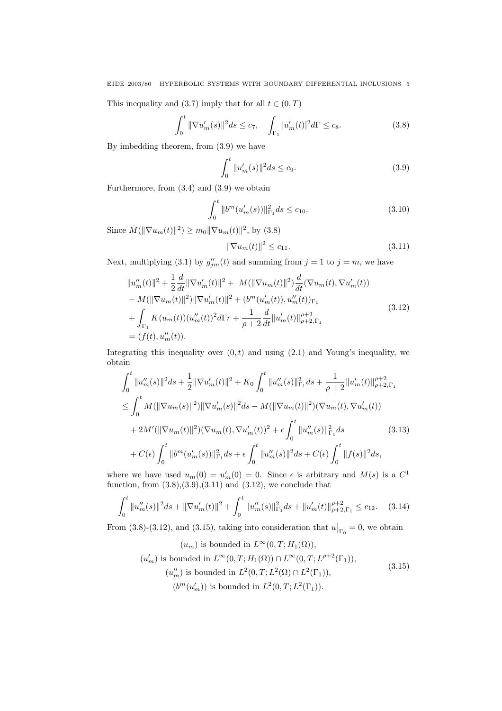EJDE–2003/80 HYPERBOLIC SYSTEMS WITH BOUNDARY DIFFERENTIAL INCLUSIONS 5

This inequality and (3.7) imply that for all  $t \in (0, T)$ 

$$
\int_0^t \|\nabla u_m'(s)\|^2 ds \le c_7, \quad \int_{\Gamma_1} |u_m'(t)|^2 d\Gamma \le c_8. \tag{3.8}
$$

By imbedding theorem, from (3.9) we have

$$
\int_0^t \|u_m'(s)\|^2 ds \le c_9. \tag{3.9}
$$

Furthermore, from (3.4) and (3.9) we obtain

$$
\int_0^t \|b^m(u'_m(s))\|_{\Gamma_1}^2 ds \le c_{10}.\tag{3.10}
$$

Since  $\bar{M}(\|\nabla u_m(t)\|^2) \ge m_0 \|\nabla u_m(t)\|^2$ , by (3.8)

$$
\|\nabla u_m(t)\|^2 \le c_{11}.\tag{3.11}
$$

Next, multiplying (3.1) by  $g''_{jm}(t)$  and summing from  $j = 1$  to  $j = m$ , we have

$$
||u''_m(t)||^2 + \frac{1}{2} \frac{d}{dt} ||\nabla u'_m(t)||^2 + M(||\nabla u_m(t)||^2) \frac{d}{dt} (\nabla u_m(t), \nabla u'_m(t))
$$
  
\n
$$
- M(||\nabla u_m(t)||^2) ||\nabla u'_m(t)||^2 + (b^m(u'_m(t)), u''_m(t))_{\Gamma_1}
$$
  
\n
$$
+ \int_{\Gamma_1} K(u_m(t))(u''_m(t))^2 d\Gamma r + \frac{1}{\rho+2} \frac{d}{dt} ||u'_m(t)||_{\rho+2,\Gamma_1}^{\rho+2}
$$
  
\n
$$
= (f(t), u''_m(t)).
$$
\n(3.12)

Integrating this inequality over  $(0, t)$  and using  $(2.1)$  and Young's inequality, we obtain

$$
\int_{0}^{t} \|u''_{m}(s)\|^{2} ds + \frac{1}{2} \|\nabla u'_{m}(t)\|^{2} + K_{0} \int_{0}^{t} \|u''_{m}(s)\|_{\Gamma_{1}}^{2} ds + \frac{1}{\rho+2} \|u'_{m}(t)\|_{\rho+2,\Gamma_{1}}^{\rho+2}
$$
\n
$$
\leq \int_{0}^{t} M(\|\nabla u_{m}(s)\|^{2}) \|\nabla u'_{m}(s)\|^{2} ds - M(\|\nabla u_{m}(t)\|^{2})(\nabla u_{m}(t), \nabla u'_{m}(t))
$$
\n
$$
+ 2M'(\|\nabla u_{m}(t)\|^{2})(\nabla u_{m}(t), \nabla u'_{m}(t))^{2} + \epsilon \int_{0}^{t} \|u''_{m}(s)\|_{\Gamma_{1}}^{2} ds \qquad (3.13)
$$
\n
$$
+ C(\epsilon) \int_{0}^{t} \|b^{m}(u'_{m}(s))\|_{\Gamma_{1}}^{2} ds + \epsilon \int_{0}^{t} \|u''_{m}(s)\|^{2} ds + C(\epsilon) \int_{0}^{t} \|f(s)\|^{2} ds,
$$

where we have used  $u_m(0) = u'_m(0) = 0$ . Since  $\epsilon$  is arbitrary and  $M(s)$  is a  $C^1$ function, from  $(3.8), (3.9), (3.11)$  and  $(3.12)$ , we conclude that

$$
\int_0^t \|u_m''(s)\|^2 ds + \|\nabla u_m'(t)\|^2 + \int_0^t \|u_m''(s)\|_{\Gamma_1}^2 ds + \|u_m'(t)\|_{\rho+2,\Gamma_1}^{\rho+2} \le c_{12}.\tag{3.14}
$$

From (3.8)-(3.12), and (3.15), taking into consideration that  $u|_{\Gamma_0} = 0$ , we obtain

$$
(u_m) \text{ is bounded in } L^{\infty}(0, T; H_1(\Omega)),
$$
  

$$
(u'_m) \text{ is bounded in } L^{\infty}(0, T; H_1(\Omega)) \cap L^{\infty}(0, T; L^{\rho+2}(\Gamma_1)),
$$
  

$$
(u''_m) \text{ is bounded in } L^2(0, T; L^2(\Omega) \cap L^2(\Gamma_1)),
$$
  

$$
(b^m(u'_m)) \text{ is bounded in } L^2(0, T; L^2(\Gamma_1)).
$$
\n(3.15)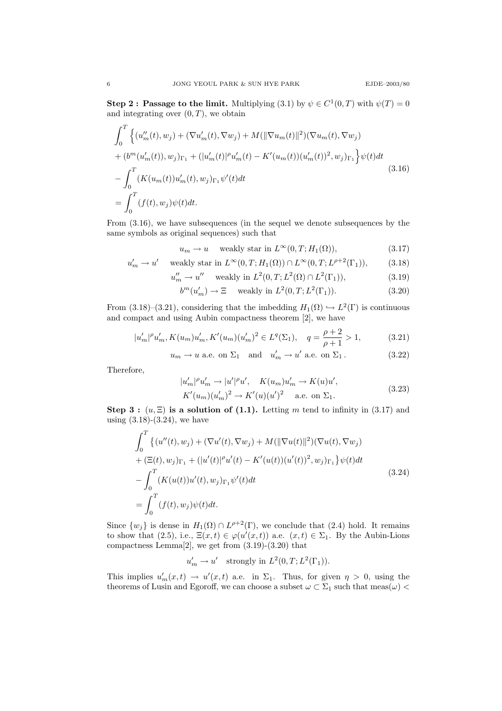**Step 2: Passage to the limit.** Multiplying (3.1) by  $\psi \in C^1(0,T)$  with  $\psi(T) = 0$ and integrating over  $(0, T)$ , we obtain

$$
\int_{0}^{T} \left\{ (u''_{m}(t), w_{j}) + (\nabla u'_{m}(t), \nabla w_{j}) + M(||\nabla u_{m}(t)||^{2})(\nabla u_{m}(t), \nabla w_{j}) + (b^{m}(u'_{m}(t)), w_{j})_{\Gamma_{1}} + (|u'_{m}(t)|^{\rho}u'_{m}(t) - K'(u_{m}(t))(u'_{m}(t))^{2}, w_{j})_{\Gamma_{1}} \right\} \psi(t)dt
$$
\n
$$
- \int_{0}^{T} (K(u_{m}(t))u'_{m}(t), w_{j})_{\Gamma_{1}} \psi'(t)dt
$$
\n
$$
= \int_{0}^{T} (f(t), w_{j})\psi(t)dt.
$$
\n(3.16)

From (3.16), we have subsequences (in the sequel we denote subsequences by the same symbols as original sequences) such that

$$
u_m \to u \quad \text{weakly star in } L^{\infty}(0, T; H_1(\Omega)), \tag{3.17}
$$

$$
u'_m \to u' \quad \text{weakly star in } L^{\infty}(0, T; H_1(\Omega)) \cap L^{\infty}(0, T; L^{\rho+2}(\Gamma_1)), \tag{3.18}
$$

$$
u''_m \to u''
$$
 weakly in  $L^2(0, T; L^2(\Omega) \cap L^2(\Gamma_1)),$  (3.19)

$$
b^{m}(u'_{m}) \to \Xi \quad \text{ weakly in } L^{2}(0,T;L^{2}(\Gamma_{1})).
$$
\n(3.20)

From (3.18)–(3.21), considering that the imbedding  $H_1(\Omega) \hookrightarrow L^2(\Gamma)$  is continuous and compact and using Aubin compactness theorem [2], we have

$$
|u'_m|^{\rho}u'_m, K(u_m)u'_m, K'(u_m)(u'_m)^2 \in L^q(\Sigma_1), \quad q = \frac{\rho+2}{\rho+1} > 1,
$$
 (3.21)

$$
u_m \to u
$$
 a.e. on  $\Sigma_1$  and  $u'_m \to u'$  a.e. on  $\Sigma_1$ . (3.22)

Therefore,

$$
|u'_{m}|^{\rho}u'_{m} \to |u'|^{\rho}u', \quad K(u_{m})u'_{m} \to K(u)u',
$$
  

$$
K'(u_{m})(u'_{m})^{2} \to K'(u)(u')^{2} \quad \text{a.e. on } \Sigma_{1}.
$$
 (3.23)

Step 3 :  $(u, \Xi)$  is a solution of (1.1). Letting m tend to infinity in (3.17) and using (3.18)-(3.24), we have

$$
\int_0^T \left\{ (u''(t), w_j) + (\nabla u'(t), \nabla w_j) + M(||\nabla u(t)||^2)(\nabla u(t), \nabla w_j) \right.\n+ (\Xi(t), w_j)_{\Gamma_1} + (|u'(t)|^{\rho} u'(t) - K'(u(t))(u'(t))^2, w_j)_{\Gamma_1} \right\} \psi(t) dt
$$
\n
$$
- \int_0^T (K(u(t))u'(t), w_j)_{\Gamma_1} \psi'(t) dt
$$
\n
$$
= \int_0^T (f(t), w_j) \psi(t) dt.
$$
\n(3.24)

Since  $\{w_j\}$  is dense in  $H_1(\Omega) \cap L^{\rho+2}(\Gamma)$ , we conclude that  $(2.4)$  hold. It remains to show that (2.5), i.e.,  $\Xi(x,t) \in \varphi(u'(x,t))$  a.e.  $(x,t) \in \Sigma_1$ . By the Aubin-Lions compactness Lemma $[2]$ , we get from  $(3.19)-(3.20)$  that

$$
u'_m \to u' \quad \text{strongly in } L^2(0,T; L^2(\Gamma_1)).
$$

This implies  $u'_m(x,t) \to u'(x,t)$  a.e. in  $\Sigma_1$ . Thus, for given  $\eta > 0$ , using the theorems of Lusin and Egoroff, we can choose a subset  $\omega \subset \Sigma_1$  such that meas $(\omega)$